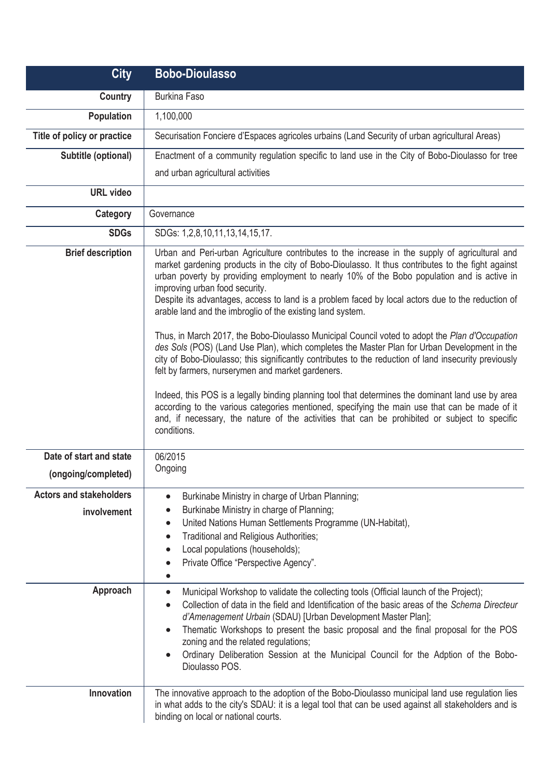| <b>City</b>                                    | <b>Bobo-Dioulasso</b>                                                                                                                                                                                                                                                                                                                                                                                                                                                                                                                                                                                                                                                                                                                                                                                                                                                                                                                                                                                                                                                                                                                                                                         |
|------------------------------------------------|-----------------------------------------------------------------------------------------------------------------------------------------------------------------------------------------------------------------------------------------------------------------------------------------------------------------------------------------------------------------------------------------------------------------------------------------------------------------------------------------------------------------------------------------------------------------------------------------------------------------------------------------------------------------------------------------------------------------------------------------------------------------------------------------------------------------------------------------------------------------------------------------------------------------------------------------------------------------------------------------------------------------------------------------------------------------------------------------------------------------------------------------------------------------------------------------------|
| <b>Country</b>                                 | <b>Burkina Faso</b>                                                                                                                                                                                                                                                                                                                                                                                                                                                                                                                                                                                                                                                                                                                                                                                                                                                                                                                                                                                                                                                                                                                                                                           |
| Population                                     | 1,100,000                                                                                                                                                                                                                                                                                                                                                                                                                                                                                                                                                                                                                                                                                                                                                                                                                                                                                                                                                                                                                                                                                                                                                                                     |
| Title of policy or practice                    | Securisation Fonciere d'Espaces agricoles urbains (Land Security of urban agricultural Areas)                                                                                                                                                                                                                                                                                                                                                                                                                                                                                                                                                                                                                                                                                                                                                                                                                                                                                                                                                                                                                                                                                                 |
| Subtitle (optional)                            | Enactment of a community regulation specific to land use in the City of Bobo-Dioulasso for tree                                                                                                                                                                                                                                                                                                                                                                                                                                                                                                                                                                                                                                                                                                                                                                                                                                                                                                                                                                                                                                                                                               |
|                                                | and urban agricultural activities                                                                                                                                                                                                                                                                                                                                                                                                                                                                                                                                                                                                                                                                                                                                                                                                                                                                                                                                                                                                                                                                                                                                                             |
| <b>URL</b> video                               |                                                                                                                                                                                                                                                                                                                                                                                                                                                                                                                                                                                                                                                                                                                                                                                                                                                                                                                                                                                                                                                                                                                                                                                               |
| Category                                       | Governance                                                                                                                                                                                                                                                                                                                                                                                                                                                                                                                                                                                                                                                                                                                                                                                                                                                                                                                                                                                                                                                                                                                                                                                    |
| <b>SDGs</b>                                    | SDGs: 1,2,8,10,11,13,14,15,17.                                                                                                                                                                                                                                                                                                                                                                                                                                                                                                                                                                                                                                                                                                                                                                                                                                                                                                                                                                                                                                                                                                                                                                |
| <b>Brief description</b>                       | Urban and Peri-urban Agriculture contributes to the increase in the supply of agricultural and<br>market gardening products in the city of Bobo-Dioulasso. It thus contributes to the fight against<br>urban poverty by providing employment to nearly 10% of the Bobo population and is active in<br>improving urban food security.<br>Despite its advantages, access to land is a problem faced by local actors due to the reduction of<br>arable land and the imbroglio of the existing land system.<br>Thus, in March 2017, the Bobo-Dioulasso Municipal Council voted to adopt the Plan d'Occupation<br>des Sols (POS) (Land Use Plan), which completes the Master Plan for Urban Development in the<br>city of Bobo-Dioulasso; this significantly contributes to the reduction of land insecurity previously<br>felt by farmers, nurserymen and market gardeners.<br>Indeed, this POS is a legally binding planning tool that determines the dominant land use by area<br>according to the various categories mentioned, specifying the main use that can be made of it<br>and, if necessary, the nature of the activities that can be prohibited or subject to specific<br>conditions. |
| Date of start and state<br>(ongoing/completed) | 06/2015<br>Ongoing                                                                                                                                                                                                                                                                                                                                                                                                                                                                                                                                                                                                                                                                                                                                                                                                                                                                                                                                                                                                                                                                                                                                                                            |
| <b>Actors and stakeholders</b><br>involvement  | Burkinabe Ministry in charge of Urban Planning;<br>$\bullet$<br>Burkinabe Ministry in charge of Planning;<br>United Nations Human Settlements Programme (UN-Habitat),<br>$\bullet$<br>Traditional and Religious Authorities;<br>$\bullet$<br>Local populations (households);<br>$\bullet$<br>Private Office "Perspective Agency".<br>$\bullet$                                                                                                                                                                                                                                                                                                                                                                                                                                                                                                                                                                                                                                                                                                                                                                                                                                                |
| Approach                                       | Municipal Workshop to validate the collecting tools (Official launch of the Project);<br>$\bullet$<br>Collection of data in the field and Identification of the basic areas of the Schema Directeur<br>$\bullet$<br>d'Amenagement Urbain (SDAU) [Urban Development Master Plan];<br>Thematic Workshops to present the basic proposal and the final proposal for the POS<br>$\bullet$<br>zoning and the related regulations;<br>Ordinary Deliberation Session at the Municipal Council for the Adption of the Bobo-<br>$\bullet$<br>Dioulasso POS.                                                                                                                                                                                                                                                                                                                                                                                                                                                                                                                                                                                                                                             |
| Innovation                                     | The innovative approach to the adoption of the Bobo-Dioulasso municipal land use regulation lies<br>in what adds to the city's SDAU: it is a legal tool that can be used against all stakeholders and is<br>binding on local or national courts.                                                                                                                                                                                                                                                                                                                                                                                                                                                                                                                                                                                                                                                                                                                                                                                                                                                                                                                                              |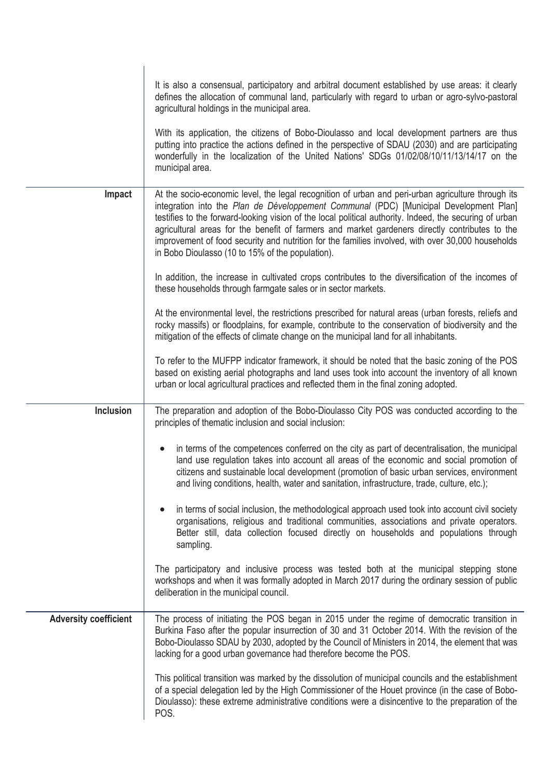|                              | It is also a consensual, participatory and arbitral document established by use areas: it clearly<br>defines the allocation of communal land, particularly with regard to urban or agro-sylvo-pastoral<br>agricultural holdings in the municipal area.                                                                                                                                                                                                                                                                                                             |
|------------------------------|--------------------------------------------------------------------------------------------------------------------------------------------------------------------------------------------------------------------------------------------------------------------------------------------------------------------------------------------------------------------------------------------------------------------------------------------------------------------------------------------------------------------------------------------------------------------|
|                              | With its application, the citizens of Bobo-Dioulasso and local development partners are thus<br>putting into practice the actions defined in the perspective of SDAU (2030) and are participating<br>wonderfully in the localization of the United Nations' SDGs 01/02/08/10/11/13/14/17 on the<br>municipal area.                                                                                                                                                                                                                                                 |
| Impact                       | At the socio-economic level, the legal recognition of urban and peri-urban agriculture through its<br>integration into the Plan de Développement Communal (PDC) [Municipal Development Plan]<br>testifies to the forward-looking vision of the local political authority. Indeed, the securing of urban<br>agricultural areas for the benefit of farmers and market gardeners directly contributes to the<br>improvement of food security and nutrition for the families involved, with over 30,000 households<br>in Bobo Dioulasso (10 to 15% of the population). |
|                              | In addition, the increase in cultivated crops contributes to the diversification of the incomes of<br>these households through farmgate sales or in sector markets.                                                                                                                                                                                                                                                                                                                                                                                                |
|                              | At the environmental level, the restrictions prescribed for natural areas (urban forests, reliefs and<br>rocky massifs) or floodplains, for example, contribute to the conservation of biodiversity and the<br>mitigation of the effects of climate change on the municipal land for all inhabitants.                                                                                                                                                                                                                                                              |
|                              | To refer to the MUFPP indicator framework, it should be noted that the basic zoning of the POS<br>based on existing aerial photographs and land uses took into account the inventory of all known<br>urban or local agricultural practices and reflected them in the final zoning adopted.                                                                                                                                                                                                                                                                         |
| <b>Inclusion</b>             | The preparation and adoption of the Bobo-Dioulasso City POS was conducted according to the<br>principles of thematic inclusion and social inclusion:                                                                                                                                                                                                                                                                                                                                                                                                               |
|                              | in terms of the competences conferred on the city as part of decentralisation, the municipal<br>land use regulation takes into account all areas of the economic and social promotion of<br>citizens and sustainable local development (promotion of basic urban services, environment<br>and living conditions, health, water and sanitation, infrastructure, trade, culture, etc.);                                                                                                                                                                              |
|                              | in terms of social inclusion, the methodological approach used took into account civil society<br>organisations, religious and traditional communities, associations and private operators.<br>Better still, data collection focused directly on households and populations through<br>sampling.                                                                                                                                                                                                                                                                   |
|                              | The participatory and inclusive process was tested both at the municipal stepping stone<br>workshops and when it was formally adopted in March 2017 during the ordinary session of public<br>deliberation in the municipal council.                                                                                                                                                                                                                                                                                                                                |
| <b>Adversity coefficient</b> | The process of initiating the POS began in 2015 under the regime of democratic transition in<br>Burkina Faso after the popular insurrection of 30 and 31 October 2014. With the revision of the<br>Bobo-Dioulasso SDAU by 2030, adopted by the Council of Ministers in 2014, the element that was<br>lacking for a good urban governance had therefore become the POS.                                                                                                                                                                                             |
|                              | This political transition was marked by the dissolution of municipal councils and the establishment<br>of a special delegation led by the High Commissioner of the Houet province (in the case of Bobo-<br>Dioulasso): these extreme administrative conditions were a disincentive to the preparation of the<br>POS.                                                                                                                                                                                                                                               |